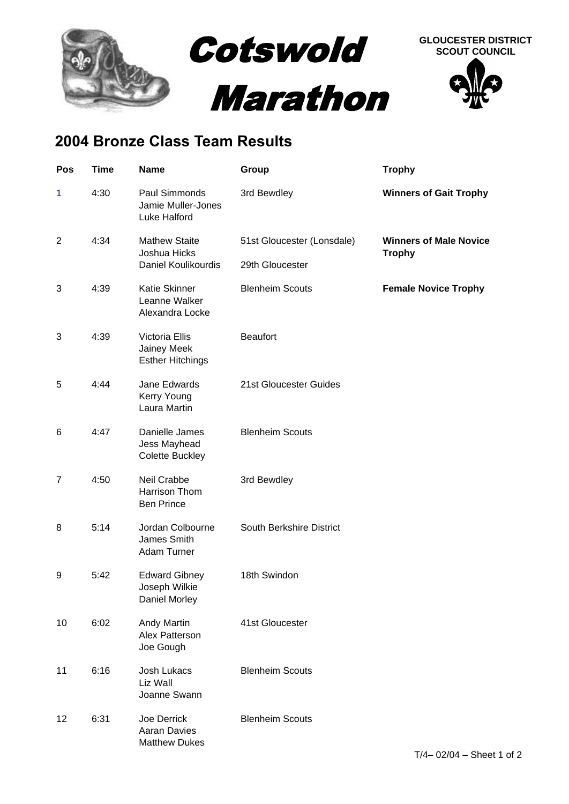

## **2004 Bronze Class Team Results**

| Pos            | <b>Time</b> | <b>Name</b>                                                   | Group                      | <b>Trophy</b>                                  |
|----------------|-------------|---------------------------------------------------------------|----------------------------|------------------------------------------------|
| $\mathbf{1}$   | 4:30        | Paul Simmonds<br>Jamie Muller-Jones<br>Luke Halford           | 3rd Bewdley                | <b>Winners of Gait Trophy</b>                  |
| $\overline{2}$ | 4:34        | <b>Mathew Staite</b><br>Joshua Hicks                          | 51st Gloucester (Lonsdale) | <b>Winners of Male Novice</b><br><b>Trophy</b> |
|                |             | Daniel Koulikourdis                                           | 29th Gloucester            |                                                |
| 3              | 4:39        | Katie Skinner<br>Leanne Walker<br>Alexandra Locke             | <b>Blenheim Scouts</b>     | <b>Female Novice Trophy</b>                    |
| 3              | 4:39        | Victoria Ellis<br>Jainey Meek<br><b>Esther Hitchings</b>      | <b>Beaufort</b>            |                                                |
| 5              | 4:44        | Jane Edwards<br>Kerry Young<br>Laura Martin                   | 21st Gloucester Guides     |                                                |
| 6              | 4:47        | Danielle James<br>Jess Mayhead<br>Colette Buckley             | <b>Blenheim Scouts</b>     |                                                |
| $\overline{7}$ | 4:50        | Neil Crabbe<br>Harrison Thom<br><b>Ben Prince</b>             | 3rd Bewdley                |                                                |
| 8              | 5:14        | Jordan Colbourne<br>James Smith<br>Adam Turner                | South Berkshire District   |                                                |
| 9              | 5:42        | <b>Edward Gibney</b><br>Joseph Wilkie<br><b>Daniel Morley</b> | 18th Swindon               |                                                |
| 10             | 6:02        | Andy Martin<br>Alex Patterson<br>Joe Gough                    | 41st Gloucester            |                                                |
| 11             | 6:16        | Josh Lukacs<br>Liz Wall<br>Joanne Swann                       | <b>Blenheim Scouts</b>     |                                                |
| 12             | 6:31        | Joe Derrick<br>Aaran Davies<br><b>Matthew Dukes</b>           | <b>Blenheim Scouts</b>     |                                                |